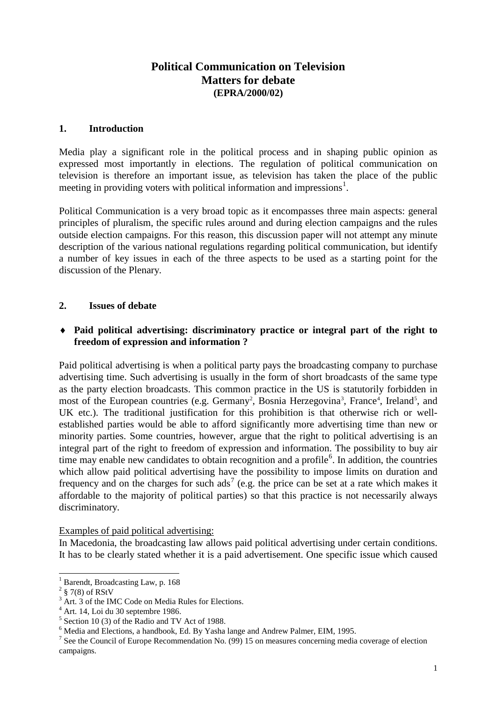# **Political Communication on Television Matters for debate (EPRA/2000/02)**

#### **1. Introduction**

Media play a significant role in the political process and in shaping public opinion as expressed most importantly in elections. The regulation of political communication on television is therefore an important issue, as television has taken the place of the public meeting in providing voters with political information and impressions<sup>[1](#page-0-0)</sup>.

Political Communication is a very broad topic as it encompasses three main aspects: general principles of pluralism, the specific rules around and during election campaigns and the rules outside election campaigns. For this reason, this discussion paper will not attempt any minute description of the various national regulations regarding political communication, but identify a number of key issues in each of the three aspects to be used as a starting point for the discussion of the Plenary.

## **2. Issues of debate**

#### ♦ **Paid political advertising: discriminatory practice or integral part of the right to freedom of expression and information ?**

Paid political advertising is when a political party pays the broadcasting company to purchase advertising time. Such advertising is usually in the form of short broadcasts of the same type as the party election broadcasts. This common practice in the US is statutorily forbidden in most of the European countries (e.g. Germany<sup>[2](#page-0-1)</sup>, Bosnia Herzegovina<sup>[3](#page-0-2)</sup>, France<sup>[4](#page-0-3)</sup>, Ireland<sup>[5](#page-0-4)</sup>, and UK etc.). The traditional justification for this prohibition is that otherwise rich or wellestablished parties would be able to afford significantly more advertising time than new or minority parties. Some countries, however, argue that the right to political advertising is an integral part of the right to freedom of expression and information. The possibility to buy air time may enable new candidates to obtain recognition and a profile<sup>[6](#page-0-5)</sup>. In addition, the countries which allow paid political advertising have the possibility to impose limits on duration and frequency and on the charges for such ads<sup>[7](#page-0-6)</sup> (e.g. the price can be set at a rate which makes it affordable to the majority of political parties) so that this practice is not necessarily always discriminatory.

Examples of paid political advertising:

In Macedonia, the broadcasting law allows paid political advertising under certain conditions. It has to be clearly stated whether it is a paid advertisement. One specific issue which caused

<sup>&</sup>lt;sup>1</sup> Barendt, Broadcasting Law, p. 168

<span id="page-0-1"></span><span id="page-0-0"></span> $2 \text{ }$  \$7(8) of RStV

<span id="page-0-2"></span><sup>&</sup>lt;sup>3</sup> Art. 3 of the IMC Code on Media Rules for Elections.

<span id="page-0-3"></span><sup>4</sup> Art. 14, Loi du 30 septembre 1986.

<span id="page-0-5"></span><span id="page-0-4"></span> $5$  Section 10 (3) of the Radio and TV Act of 1988.<br> $6$  Media and Elections, a handbook, Ed. By Yasha lange and Andrew Palmer, EIM, 1995.

<span id="page-0-6"></span><sup>&</sup>lt;sup>7</sup> See the Council of Europe Recommendation No. (99) 15 on measures concerning media coverage of election campaigns.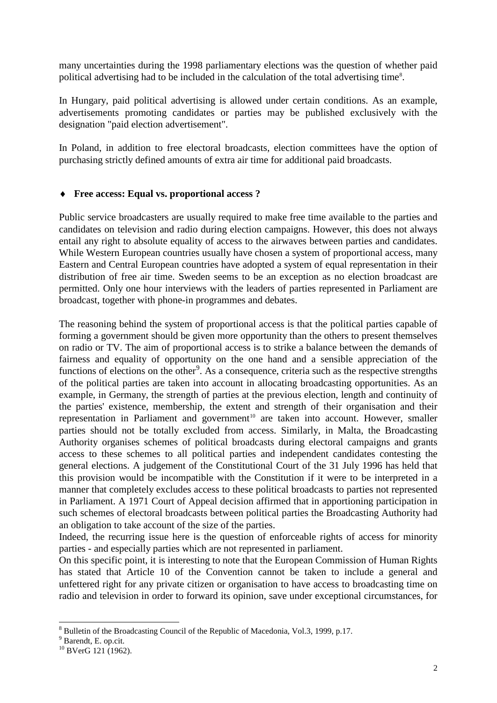many uncertainties during the 1998 parliamentary elections was the question of whether paid political advertising had to be included in the calculation of the total advertising time<sup>[8](#page-1-0)</sup>.

In Hungary, paid political advertising is allowed under certain conditions. As an example, advertisements promoting candidates or parties may be published exclusively with the designation "paid election advertisement".

In Poland, in addition to free electoral broadcasts, election committees have the option of purchasing strictly defined amounts of extra air time for additional paid broadcasts.

## ♦ **Free access: Equal vs. proportional access ?**

Public service broadcasters are usually required to make free time available to the parties and candidates on television and radio during election campaigns. However, this does not always entail any right to absolute equality of access to the airwaves between parties and candidates. While Western European countries usually have chosen a system of proportional access, many Eastern and Central European countries have adopted a system of equal representation in their distribution of free air time. Sweden seems to be an exception as no election broadcast are permitted. Only one hour interviews with the leaders of parties represented in Parliament are broadcast, together with phone-in programmes and debates.

The reasoning behind the system of proportional access is that the political parties capable of forming a government should be given more opportunity than the others to present themselves on radio or TV. The aim of proportional access is to strike a balance between the demands of fairness and equality of opportunity on the one hand and a sensible appreciation of the functions of elections on the other<sup>[9](#page-1-1)</sup>. As a consequence, criteria such as the respective strengths of the political parties are taken into account in allocating broadcasting opportunities. As an example, in Germany, the strength of parties at the previous election, length and continuity of the parties' existence, membership, the extent and strength of their organisation and their representation in Parliament and government<sup>[10](#page-1-2)</sup> are taken into account. However, smaller parties should not be totally excluded from access. Similarly, in Malta, the Broadcasting Authority organises schemes of political broadcasts during electoral campaigns and grants access to these schemes to all political parties and independent candidates contesting the general elections. A judgement of the Constitutional Court of the 31 July 1996 has held that this provision would be incompatible with the Constitution if it were to be interpreted in a manner that completely excludes access to these political broadcasts to parties not represented in Parliament. A 1971 Court of Appeal decision affirmed that in apportioning participation in such schemes of electoral broadcasts between political parties the Broadcasting Authority had an obligation to take account of the size of the parties.

Indeed, the recurring issue here is the question of enforceable rights of access for minority parties - and especially parties which are not represented in parliament.

On this specific point, it is interesting to note that the European Commission of Human Rights has stated that Article 10 of the Convention cannot be taken to include a general and unfettered right for any private citizen or organisation to have access to broadcasting time on radio and television in order to forward its opinion, save under exceptional circumstances, for

<span id="page-1-0"></span> $8\text{ Bulletin of the Broadcasting Council of the Republic of Macedonia, Vol.3, 1999, p.17.}$ <br> $9\text{Barendt, E. op. cit.}$ 

<span id="page-1-1"></span>

<span id="page-1-2"></span><sup>&</sup>lt;sup>10</sup> BVerG 121 (1962).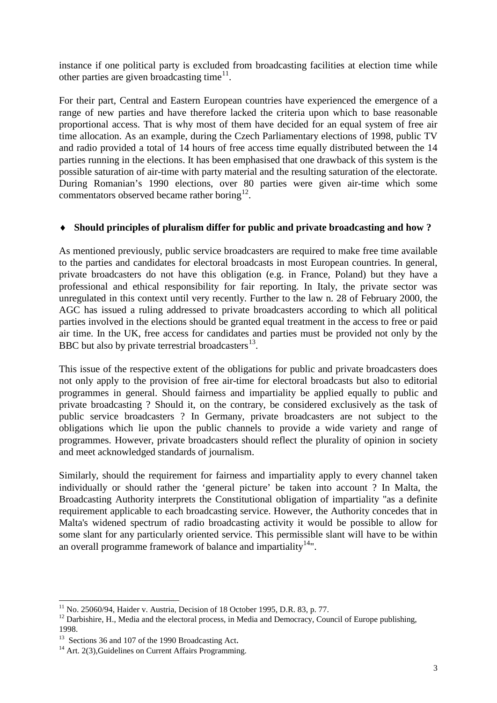instance if one political party is excluded from broadcasting facilities at election time while other parties are given broadcasting time<sup>[11](#page-2-0)</sup>.

For their part, Central and Eastern European countries have experienced the emergence of a range of new parties and have therefore lacked the criteria upon which to base reasonable proportional access. That is why most of them have decided for an equal system of free air time allocation. As an example, during the Czech Parliamentary elections of 1998, public TV and radio provided a total of 14 hours of free access time equally distributed between the 14 parties running in the elections. It has been emphasised that one drawback of this system is the possible saturation of air-time with party material and the resulting saturation of the electorate. During Romanian's 1990 elections, over 80 parties were given air-time which some commentators observed became rather boring<sup>[12](#page-2-1)</sup>.

## ♦ **Should principles of pluralism differ for public and private broadcasting and how ?**

As mentioned previously, public service broadcasters are required to make free time available to the parties and candidates for electoral broadcasts in most European countries. In general, private broadcasters do not have this obligation (e.g. in France, Poland) but they have a professional and ethical responsibility for fair reporting. In Italy, the private sector was unregulated in this context until very recently. Further to the law n. 28 of February 2000, the AGC has issued a ruling addressed to private broadcasters according to which all political parties involved in the elections should be granted equal treatment in the access to free or paid air time. In the UK, free access for candidates and parties must be provided not only by the BBC but also by private terrestrial broadcasters $^{13}$  $^{13}$  $^{13}$ .

This issue of the respective extent of the obligations for public and private broadcasters does not only apply to the provision of free air-time for electoral broadcasts but also to editorial programmes in general. Should fairness and impartiality be applied equally to public and private broadcasting ? Should it, on the contrary, be considered exclusively as the task of public service broadcasters ? In Germany, private broadcasters are not subject to the obligations which lie upon the public channels to provide a wide variety and range of programmes. However, private broadcasters should reflect the plurality of opinion in society and meet acknowledged standards of journalism.

Similarly, should the requirement for fairness and impartiality apply to every channel taken individually or should rather the 'general picture' be taken into account ? In Malta, the Broadcasting Authority interprets the Constitutional obligation of impartiality "as a definite requirement applicable to each broadcasting service. However, the Authority concedes that in Malta's widened spectrum of radio broadcasting activity it would be possible to allow for some slant for any particularly oriented service. This permissible slant will have to be within an overall programme framework of balance and impartiality $14$ ".

<span id="page-2-1"></span>

<span id="page-2-0"></span><sup>&</sup>lt;sup>11</sup> No. 25060/94, Haider v. Austria, Decision of 18 October 1995, D.R. 83, p. 77.<br><sup>12</sup> Darbishire, H., Media and the electoral process, in Media and Democracy, Council of Europe publishing, 1998.

<span id="page-2-2"></span><sup>&</sup>lt;sup>13</sup> Sections 36 and 107 of the 1990 Broadcasting Act.<br><sup>14</sup> Art. 2(3),Guidelines on Current Affairs Programming.

<span id="page-2-3"></span>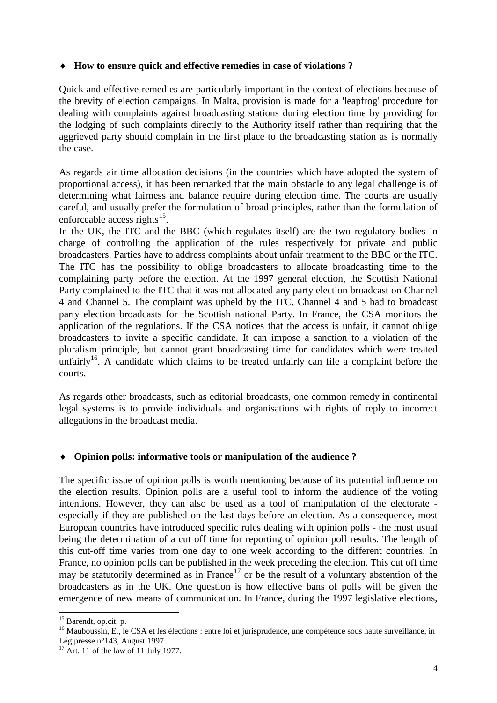#### ♦ **How to ensure quick and effective remedies in case of violations ?**

Quick and effective remedies are particularly important in the context of elections because of the brevity of election campaigns. In Malta, provision is made for a 'leapfrog' procedure for dealing with complaints against broadcasting stations during election time by providing for the lodging of such complaints directly to the Authority itself rather than requiring that the aggrieved party should complain in the first place to the broadcasting station as is normally the case.

As regards air time allocation decisions (in the countries which have adopted the system of proportional access), it has been remarked that the main obstacle to any legal challenge is of determining what fairness and balance require during election time. The courts are usually careful, and usually prefer the formulation of broad principles, rather than the formulation of enforceable access rights $^{15}$ .

In the UK, the ITC and the BBC (which regulates itself) are the two regulatory bodies in charge of controlling the application of the rules respectively for private and public broadcasters. Parties have to address complaints about unfair treatment to the BBC or the ITC. The ITC has the possibility to oblige broadcasters to allocate broadcasting time to the complaining party before the election. At the 1997 general election, the Scottish National Party complained to the ITC that it was not allocated any party election broadcast on Channel 4 and Channel 5. The complaint was upheld by the ITC. Channel 4 and 5 had to broadcast party election broadcasts for the Scottish national Party. In France, the CSA monitors the application of the regulations. If the CSA notices that the access is unfair, it cannot oblige broadcasters to invite a specific candidate. It can impose a sanction to a violation of the pluralism principle, but cannot grant broadcasting time for candidates which were treated unfairly<sup>[16](#page-3-1)</sup>. A candidate which claims to be treated unfairly can file a complaint before the courts.

As regards other broadcasts, such as editorial broadcasts, one common remedy in continental legal systems is to provide individuals and organisations with rights of reply to incorrect allegations in the broadcast media.

## ♦ **Opinion polls: informative tools or manipulation of the audience ?**

The specific issue of opinion polls is worth mentioning because of its potential influence on the election results. Opinion polls are a useful tool to inform the audience of the voting intentions. However, they can also be used as a tool of manipulation of the electorate especially if they are published on the last days before an election. As a consequence, most European countries have introduced specific rules dealing with opinion polls - the most usual being the determination of a cut off time for reporting of opinion poll results. The length of this cut-off time varies from one day to one week according to the different countries. In France, no opinion polls can be published in the week preceding the election. This cut off time may be statutorily determined as in France<sup>[17](#page-3-2)</sup> or be the result of a voluntary abstention of the broadcasters as in the UK. One question is how effective bans of polls will be given the emergence of new means of communication. In France, during the 1997 legislative elections,

<span id="page-3-0"></span><sup>&</sup>lt;sup>15</sup> Barendt, op.cit, p. 16 Mauboussin, E., le CSA et les élections : entre loi et jurisprudence, une compétence sous haute surveillance, in

<span id="page-3-2"></span><span id="page-3-1"></span>Légipresse n°143, August 1997.<br><sup>17</sup> Art. 11 of the law of 11 July 1977.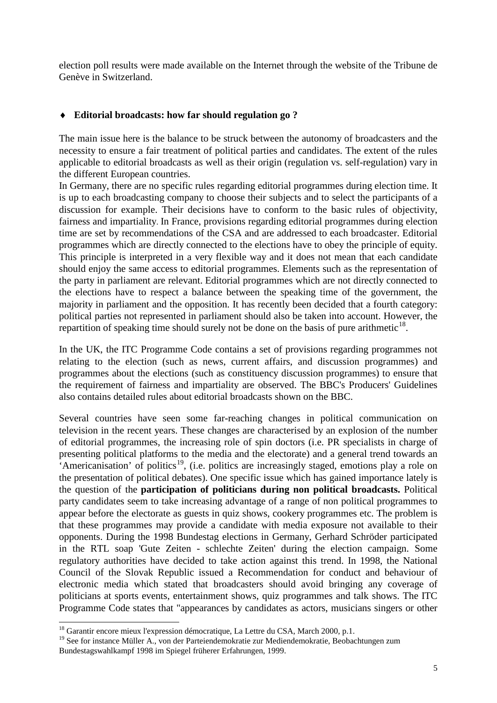election poll results were made available on the Internet through the website of the Tribune de Genève in Switzerland.

#### ♦ **Editorial broadcasts: how far should regulation go ?**

The main issue here is the balance to be struck between the autonomy of broadcasters and the necessity to ensure a fair treatment of political parties and candidates. The extent of the rules applicable to editorial broadcasts as well as their origin (regulation vs. self-regulation) vary in the different European countries.

In Germany, there are no specific rules regarding editorial programmes during election time. It is up to each broadcasting company to choose their subjects and to select the participants of a discussion for example. Their decisions have to conform to the basic rules of objectivity, fairness and impartiality. In France, provisions regarding editorial programmes during election time are set by recommendations of the CSA and are addressed to each broadcaster. Editorial programmes which are directly connected to the elections have to obey the principle of equity. This principle is interpreted in a very flexible way and it does not mean that each candidate should enjoy the same access to editorial programmes. Elements such as the representation of the party in parliament are relevant. Editorial programmes which are not directly connected to the elections have to respect a balance between the speaking time of the government, the majority in parliament and the opposition. It has recently been decided that a fourth category: political parties not represented in parliament should also be taken into account. However, the repartition of speaking time should surely not be done on the basis of pure arithmetic $^{18}$  $^{18}$  $^{18}$ .

In the UK, the ITC Programme Code contains a set of provisions regarding programmes not relating to the election (such as news, current affairs, and discussion programmes) and programmes about the elections (such as constituency discussion programmes) to ensure that the requirement of fairness and impartiality are observed. The BBC's Producers' Guidelines also contains detailed rules about editorial broadcasts shown on the BBC.

Several countries have seen some far-reaching changes in political communication on television in the recent years. These changes are characterised by an explosion of the number of editorial programmes, the increasing role of spin doctors (i.e. PR specialists in charge of presenting political platforms to the media and the electorate) and a general trend towards an  $\cdot$ Americanisation' of politics<sup>[19](#page-4-1)</sup>, (i.e. politics are increasingly staged, emotions play a role on the presentation of political debates). One specific issue which has gained importance lately is the question of the **participation of politicians during non political broadcasts.** Political party candidates seem to take increasing advantage of a range of non political programmes to appear before the electorate as guests in quiz shows, cookery programmes etc. The problem is that these programmes may provide a candidate with media exposure not available to their opponents. During the 1998 Bundestag elections in Germany, Gerhard Schröder participated in the RTL soap 'Gute Zeiten - schlechte Zeiten' during the election campaign. Some regulatory authorities have decided to take action against this trend. In 1998, the National Council of the Slovak Republic issued a Recommendation for conduct and behaviour of electronic media which stated that broadcasters should avoid bringing any coverage of politicians at sports events, entertainment shows, quiz programmes and talk shows. The ITC Programme Code states that "appearances by candidates as actors, musicians singers or other

<span id="page-4-0"></span><sup>&</sup>lt;sup>18</sup> Garantir encore mieux l'expression démocratique, La Lettre du CSA, March 2000, p.1.

<span id="page-4-1"></span><sup>&</sup>lt;sup>19</sup> See for instance Müller A., von der Parteiendemokratie zur Mediendemokratie, Beobachtungen zum Bundestagswahlkampf 1998 im Spiegel früherer Erfahrungen, 1999.